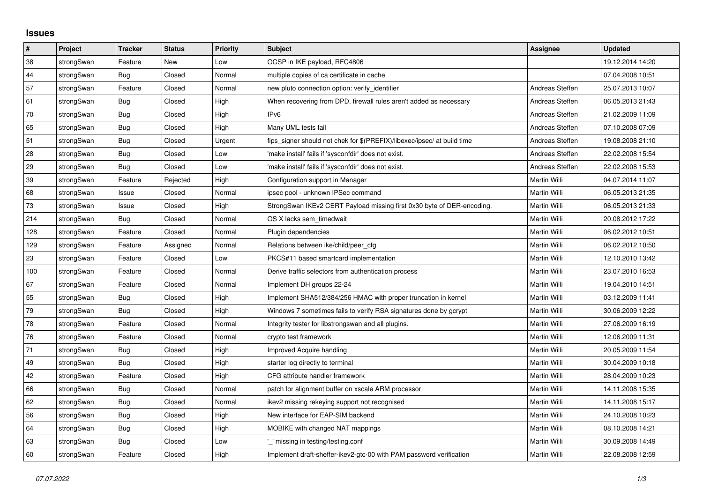## **Issues**

| #   | Project    | <b>Tracker</b> | <b>Status</b> | <b>Priority</b> | <b>Subject</b>                                                          | Assignee            | <b>Updated</b>   |
|-----|------------|----------------|---------------|-----------------|-------------------------------------------------------------------------|---------------------|------------------|
| 38  | strongSwan | Feature        | <b>New</b>    | Low             | OCSP in IKE payload, RFC4806                                            |                     | 19.12.2014 14:20 |
| 44  | strongSwan | Bug            | Closed        | Normal          | multiple copies of ca certificate in cache                              |                     | 07.04.2008 10:51 |
| 57  | strongSwan | Feature        | Closed        | Normal          | new pluto connection option: verify identifier                          | Andreas Steffen     | 25.07.2013 10:07 |
| 61  | strongSwan | <b>Bug</b>     | Closed        | High            | When recovering from DPD, firewall rules aren't added as necessary      | Andreas Steffen     | 06.05.2013 21:43 |
| 70  | strongSwan | Bug            | Closed        | High            | IPv6                                                                    | Andreas Steffen     | 21.02.2009 11:09 |
| 65  | strongSwan | Bug            | Closed        | High            | Many UML tests fail                                                     | Andreas Steffen     | 07.10.2008 07:09 |
| 51  | strongSwan | <b>Bug</b>     | Closed        | Urgent          | fips_signer should not chek for \$(PREFIX)/libexec/ipsec/ at build time | Andreas Steffen     | 19.08.2008 21:10 |
| 28  | strongSwan | Bug            | Closed        | Low             | 'make install' fails if 'sysconfdir' does not exist.                    | Andreas Steffen     | 22.02.2008 15:54 |
| 29  | strongSwan | Bug            | Closed        | Low             | 'make install' fails if 'sysconfdir' does not exist.                    | Andreas Steffen     | 22.02.2008 15:53 |
| 39  | strongSwan | Feature        | Rejected      | High            | Configuration support in Manager                                        | Martin Willi        | 04.07.2014 11:07 |
| 68  | strongSwan | Issue          | Closed        | Normal          | ipsec pool - unknown IPSec command                                      | Martin Willi        | 06.05.2013 21:35 |
| 73  | strongSwan | Issue          | Closed        | High            | StrongSwan IKEv2 CERT Payload missing first 0x30 byte of DER-encoding.  | Martin Willi        | 06.05.2013 21:33 |
| 214 | strongSwan | Bug            | Closed        | Normal          | OS X lacks sem timedwait                                                | Martin Willi        | 20.08.2012 17:22 |
| 128 | strongSwan | Feature        | Closed        | Normal          | Plugin dependencies                                                     | Martin Willi        | 06.02.2012 10:51 |
| 129 | strongSwan | Feature        | Assigned      | Normal          | Relations between ike/child/peer_cfg                                    | Martin Willi        | 06.02.2012 10:50 |
| 23  | strongSwan | Feature        | Closed        | Low             | PKCS#11 based smartcard implementation                                  | Martin Willi        | 12.10.2010 13:42 |
| 100 | strongSwan | Feature        | Closed        | Normal          | Derive traffic selectors from authentication process                    | Martin Willi        | 23.07.2010 16:53 |
| 67  | strongSwan | Feature        | Closed        | Normal          | Implement DH groups 22-24                                               | Martin Willi        | 19.04.2010 14:51 |
| 55  | strongSwan | Bug            | Closed        | High            | Implement SHA512/384/256 HMAC with proper truncation in kernel          | Martin Willi        | 03.12.2009 11:41 |
| 79  | strongSwan | Bug            | Closed        | High            | Windows 7 sometimes fails to verify RSA signatures done by gcrypt       | Martin Willi        | 30.06.2009 12:22 |
| 78  | strongSwan | Feature        | Closed        | Normal          | Integrity tester for libstrongswan and all plugins.                     | Martin Willi        | 27.06.2009 16:19 |
| 76  | strongSwan | Feature        | Closed        | Normal          | crypto test framework                                                   | Martin Willi        | 12.06.2009 11:31 |
| 71  | strongSwan | <b>Bug</b>     | Closed        | High            | Improved Acquire handling                                               | Martin Willi        | 20.05.2009 11:54 |
| 49  | strongSwan | Bug            | Closed        | High            | starter log directly to terminal                                        | Martin Willi        | 30.04.2009 10:18 |
| 42  | strongSwan | Feature        | Closed        | High            | CFG attribute handler framework                                         | <b>Martin Willi</b> | 28.04.2009 10:23 |
| 66  | strongSwan | Bug            | Closed        | Normal          | patch for alignment buffer on xscale ARM processor                      | Martin Willi        | 14.11.2008 15:35 |
| 62  | strongSwan | Bug            | Closed        | Normal          | ikev2 missing rekeying support not recognised                           | Martin Willi        | 14.11.2008 15:17 |
| 56  | strongSwan | <b>Bug</b>     | Closed        | High            | New interface for EAP-SIM backend                                       | Martin Willi        | 24.10.2008 10:23 |
| 64  | strongSwan | Bug            | Closed        | High            | MOBIKE with changed NAT mappings                                        | Martin Willi        | 08.10.2008 14:21 |
| 63  | strongSwan | Bug            | Closed        | Low             | ' missing in testing/testing.conf                                       | Martin Willi        | 30.09.2008 14:49 |
| 60  | strongSwan | Feature        | Closed        | High            | Implement draft-sheffer-ikev2-gtc-00 with PAM password verification     | Martin Willi        | 22.08.2008 12:59 |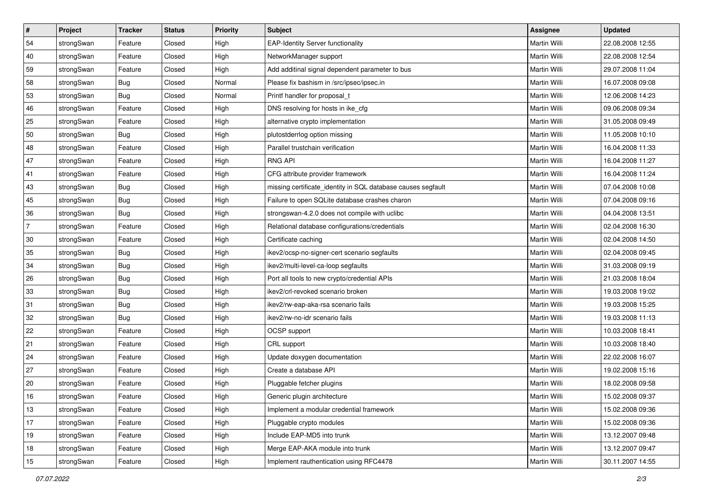| $\vert$ #      | Project    | <b>Tracker</b> | <b>Status</b> | <b>Priority</b> | <b>Subject</b>                                               | Assignee            | <b>Updated</b>   |
|----------------|------------|----------------|---------------|-----------------|--------------------------------------------------------------|---------------------|------------------|
| 54             | strongSwan | Feature        | Closed        | High            | <b>EAP-Identity Server functionality</b>                     | Martin Willi        | 22.08.2008 12:55 |
| 40             | strongSwan | Feature        | Closed        | High            | NetworkManager support                                       | <b>Martin Willi</b> | 22.08.2008 12:54 |
| 59             | strongSwan | Feature        | Closed        | High            | Add additinal signal dependent parameter to bus              | Martin Willi        | 29.07.2008 11:04 |
| 58             | strongSwan | <b>Bug</b>     | Closed        | Normal          | Please fix bashism in /src/ipsec/ipsec.in                    | Martin Willi        | 16.07.2008 09:08 |
| 53             | strongSwan | Bug            | Closed        | Normal          | Printf handler for proposal_t                                | Martin Willi        | 12.06.2008 14:23 |
| 46             | strongSwan | Feature        | Closed        | High            | DNS resolving for hosts in ike_cfg                           | Martin Willi        | 09.06.2008 09:34 |
| 25             | strongSwan | Feature        | Closed        | High            | alternative crypto implementation                            | Martin Willi        | 31.05.2008 09:49 |
| 50             | strongSwan | Bug            | Closed        | High            | plutostderrlog option missing                                | Martin Willi        | 11.05.2008 10:10 |
| 48             | strongSwan | Feature        | Closed        | High            | Parallel trustchain verification                             | Martin Willi        | 16.04.2008 11:33 |
| 47             | strongSwan | Feature        | Closed        | High            | <b>RNG API</b>                                               | Martin Willi        | 16.04.2008 11:27 |
| 41             | strongSwan | Feature        | Closed        | High            | CFG attribute provider framework                             | Martin Willi        | 16.04.2008 11:24 |
| 43             | strongSwan | <b>Bug</b>     | Closed        | High            | missing certificate_identity in SQL database causes segfault | Martin Willi        | 07.04.2008 10:08 |
| 45             | strongSwan | Bug            | Closed        | High            | Failure to open SQLite database crashes charon               | <b>Martin Willi</b> | 07.04.2008 09:16 |
| 36             | strongSwan | Bug            | Closed        | High            | strongswan-4.2.0 does not compile with uclibc                | Martin Willi        | 04.04.2008 13:51 |
| $\overline{7}$ | strongSwan | Feature        | Closed        | High            | Relational database configurations/credentials               | <b>Martin Willi</b> | 02.04.2008 16:30 |
| 30             | strongSwan | Feature        | Closed        | High            | Certificate caching                                          | Martin Willi        | 02.04.2008 14:50 |
| 35             | strongSwan | <b>Bug</b>     | Closed        | High            | ikev2/ocsp-no-signer-cert scenario segfaults                 | <b>Martin Willi</b> | 02.04.2008 09:45 |
| 34             | strongSwan | Bug            | Closed        | High            | ikev2/multi-level-ca-loop segfaults                          | <b>Martin Willi</b> | 31.03.2008 09:19 |
| 26             | strongSwan | Bug            | Closed        | High            | Port all tools to new crypto/credential APIs                 | Martin Willi        | 21.03.2008 18:04 |
| 33             | strongSwan | <b>Bug</b>     | Closed        | High            | ikev2/crl-revoked scenario broken                            | Martin Willi        | 19.03.2008 19:02 |
| 31             | strongSwan | <b>Bug</b>     | Closed        | High            | ikev2/rw-eap-aka-rsa scenario fails                          | Martin Willi        | 19.03.2008 15:25 |
| 32             | strongSwan | <b>Bug</b>     | Closed        | High            | ikev2/rw-no-idr scenario fails                               | Martin Willi        | 19.03.2008 11:13 |
| 22             | strongSwan | Feature        | Closed        | High            | OCSP support                                                 | Martin Willi        | 10.03.2008 18:41 |
| 21             | strongSwan | Feature        | Closed        | High            | CRL support                                                  | Martin Willi        | 10.03.2008 18:40 |
| 24             | strongSwan | Feature        | Closed        | High            | Update doxygen documentation                                 | Martin Willi        | 22.02.2008 16:07 |
| 27             | strongSwan | Feature        | Closed        | High            | Create a database API                                        | Martin Willi        | 19.02.2008 15:16 |
| $ 20\rangle$   | strongSwan | Feature        | Closed        | High            | Pluggable fetcher plugins                                    | Martin Willi        | 18.02.2008 09:58 |
| 16             | strongSwan | Feature        | Closed        | High            | Generic plugin architecture                                  | Martin Willi        | 15.02.2008 09:37 |
| 13             | strongSwan | Feature        | Closed        | High            | Implement a modular credential framework                     | Martin Willi        | 15.02.2008 09:36 |
| 17             | strongSwan | Feature        | Closed        | High            | Pluggable crypto modules                                     | Martin Willi        | 15.02.2008 09:36 |
| 19             | strongSwan | Feature        | Closed        | High            | Include EAP-MD5 into trunk                                   | Martin Willi        | 13.12.2007 09:48 |
| 18             | strongSwan | Feature        | Closed        | High            | Merge EAP-AKA module into trunk                              | Martin Willi        | 13.12.2007 09:47 |
| 15             | strongSwan | Feature        | Closed        | High            | Implement rauthentication using RFC4478                      | Martin Willi        | 30.11.2007 14:55 |